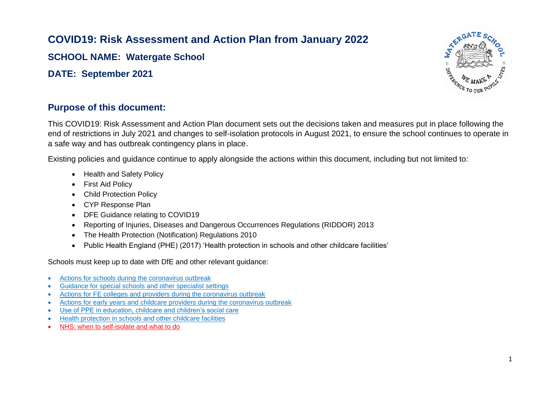# **COVID19: Risk Assessment and Action Plan from January 2022**

**SCHOOL NAME: Watergate School**

**DATE: September 2021**



# **Purpose of this document:**

This COVID19: Risk Assessment and Action Plan document sets out the decisions taken and measures put in place following the end of restrictions in July 2021 and changes to self-isolation protocols in August 2021, to ensure the school continues to operate in a safe way and has outbreak contingency plans in place.

Existing policies and guidance continue to apply alongside the actions within this document, including but not limited to:

- Health and Safety Policy
- First Aid Policy
- Child Protection Policy
- CYP Response Plan
- DFE Guidance relating to COVID19
- Reporting of Injuries, Diseases and Dangerous Occurrences Regulations (RIDDOR) 2013
- The Health Protection (Notification) Regulations 2010
- Public Health England (PHE) (2017) 'Health protection in schools and other childcare facilities'

Schools must keep up to date with DfE and other relevant guidance:

- [Actions for schools during the coronavirus outbreak](https://urldefense.com/v3/__https:/eur02.safelinks.protection.outlook.com/?url=https*3A*2F*2Fwww.gov.uk*2Fgovernment*2Fpublications*2Factions-for-schools-during-the-coronavirus-outbreak*3Futm_source*3D06*2520July*25202021*2520C19*26utm_medium*3DDaily*2520Email*2520C19*26utm_campaign*3DDfE*2520C19&data=04*7C01*7C*7C9270018e217b44f35c5208d943a9e913*7Ca8b4324f155c4215a0f17ed8cc9a992f*7C0*7C0*7C637615221024244899*7CUnknown*7CTWFpbGZsb3d8eyJWIjoiMC4wLjAwMDAiLCJQIjoiV2luMzIiLCJBTiI6Ik1haWwiLCJXVCI6Mn0*3D*7C1000&sdata=6zlzyc8WLtkH80tF3dqDjwfCGrDgkYBoOL3ATZnAf30*3D&reserved=0__;JSUlJSUlJSUlJSUlJSUlJSUlJSUlJSUlJSUlJSUl!!CVb4j_0G!BpBAv5ebRMNWsbKd5uCNjmmvxZiZvG-dPGtwZZCU_8-JDR0xlrcJ55uJia6PmE-BcF85CNw5gBB-_Q$)
- [Guidance for special schools and other specialist settings](https://urldefense.com/v3/__https:/eur02.safelinks.protection.outlook.com/?url=https*3A*2F*2Fwww.gov.uk*2Fgovernment*2Fpublications*2Fguidance-for-full-opening-special-schools-and-other-specialist-settings*3Futm_source*3D06*2520July*25202021*2520C19*26utm_medium*3DDaily*2520Email*2520C19*26utm_campaign*3DDfE*2520C19&data=04*7C01*7C*7C9270018e217b44f35c5208d943a9e913*7Ca8b4324f155c4215a0f17ed8cc9a992f*7C0*7C0*7C637615221024254898*7CUnknown*7CTWFpbGZsb3d8eyJWIjoiMC4wLjAwMDAiLCJQIjoiV2luMzIiLCJBTiI6Ik1haWwiLCJXVCI6Mn0*3D*7C1000&sdata=P9qta9dkYqnOh7gPaN7wqvIQawrpIlIwEML3rDD6gMc*3D&reserved=0__;JSUlJSUlJSUlJSUlJSUlJSUlJSUlJSUlJSUlJSUl!!CVb4j_0G!BpBAv5ebRMNWsbKd5uCNjmmvxZiZvG-dPGtwZZCU_8-JDR0xlrcJ55uJia6PmE-BcF85CNzd9-V7Hw$)
- [Actions for FE colleges and providers during the coronavirus outbreak](https://urldefense.com/v3/__https:/eur02.safelinks.protection.outlook.com/?url=https*3A*2F*2Fwww.gov.uk*2Fgovernment*2Fpublications*2Fcoronavirus-covid-19-maintaining-further-education-provision*3Futm_source*3D06*2520July*25202021*2520C19*26utm_medium*3DDaily*2520Email*2520C19*26utm_campaign*3DDfE*2520C19&data=04*7C01*7C*7C9270018e217b44f35c5208d943a9e913*7Ca8b4324f155c4215a0f17ed8cc9a992f*7C0*7C0*7C637615221024264885*7CUnknown*7CTWFpbGZsb3d8eyJWIjoiMC4wLjAwMDAiLCJQIjoiV2luMzIiLCJBTiI6Ik1haWwiLCJXVCI6Mn0*3D*7C1000&sdata=FcYxI6xaoBQjZYrGL16kgVmWTh4zLrNWdMYvzK0KgJM*3D&reserved=0__;JSUlJSUlJSUlJSUlJSUlJSUlJSUlJSUlJSUlJSUl!!CVb4j_0G!BpBAv5ebRMNWsbKd5uCNjmmvxZiZvG-dPGtwZZCU_8-JDR0xlrcJ55uJia6PmE-BcF85CNzL8Bd7VQ$)
- [Actions for early years and childcare providers during the coronavirus outbreak](https://urldefense.com/v3/__https:/eur02.safelinks.protection.outlook.com/?url=https*3A*2F*2Fwww.gov.uk*2Fgovernment*2Fpublications*2Fcoronavirus-covid-19-early-years-and-childcare-closures*3Futm_source*3D06*2520July*25202021*2520C19*26utm_medium*3DDaily*2520Email*2520C19*26utm_campaign*3DDfE*2520C19&data=04*7C01*7C*7C9270018e217b44f35c5208d943a9e913*7Ca8b4324f155c4215a0f17ed8cc9a992f*7C0*7C0*7C637615221024264885*7CUnknown*7CTWFpbGZsb3d8eyJWIjoiMC4wLjAwMDAiLCJQIjoiV2luMzIiLCJBTiI6Ik1haWwiLCJXVCI6Mn0*3D*7C1000&sdata=P8hXmFuhKV1muTu*2B26vYSiND7zwhUlQDseY67ng1g0o*3D&reserved=0__;JSUlJSUlJSUlJSUlJSUlJSUlJSUlJSUlJSUlJSUlJQ!!CVb4j_0G!BpBAv5ebRMNWsbKd5uCNjmmvxZiZvG-dPGtwZZCU_8-JDR0xlrcJ55uJia6PmE-BcF85CNymTH6T6w$)
- [Use of PPE in education, childcare and children's social care](https://urldefense.com/v3/__https:/eur02.safelinks.protection.outlook.com/?url=https*3A*2F*2Fwww.gov.uk*2Fgovernment*2Fpublications*2Fsafe-working-in-education-childcare-and-childrens-social-care*3Futm_source*3D06*2520July*25202021*2520C19*26utm_medium*3DDaily*2520Email*2520C19*26utm_campaign*3DDfE*2520C19&data=04*7C01*7C*7C9270018e217b44f35c5208d943a9e913*7Ca8b4324f155c4215a0f17ed8cc9a992f*7C0*7C0*7C637615221024274883*7CUnknown*7CTWFpbGZsb3d8eyJWIjoiMC4wLjAwMDAiLCJQIjoiV2luMzIiLCJBTiI6Ik1haWwiLCJXVCI6Mn0*3D*7C1000&sdata=SXd2E61FgyP17zsOjuqXqdmE*2F1b1OaL*2Bj2n6PelBobE*3D&reserved=0__;JSUlJSUlJSUlJSUlJSUlJSUlJSUlJSUlJSUlJSUlJSU!!CVb4j_0G!BpBAv5ebRMNWsbKd5uCNjmmvxZiZvG-dPGtwZZCU_8-JDR0xlrcJ55uJia6PmE-BcF85CNzIOPumlA$)
- Health protection in schools and other childcare facilities
- [NHS: when to self-isolate and what to do](https://www.nhs.uk/conditions/coronavirus-covid-19/self-isolawhen-to-self-isolate-and-what-to-do/)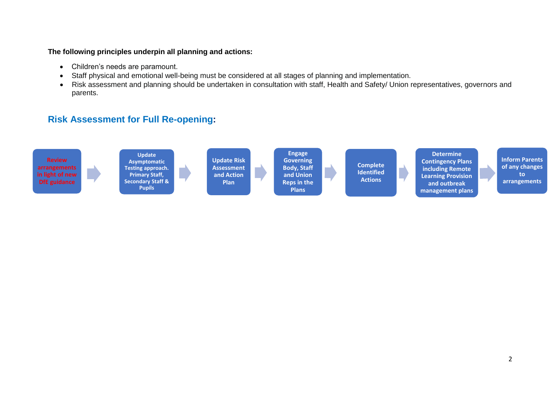# **The following principles underpin all planning and actions:**

- Children's needs are paramount.
- Staff physical and emotional well-being must be considered at all stages of planning and implementation.
- Risk assessment and planning should be undertaken in consultation with staff, Health and Safety/ Union representatives, governors and parents.

# **Risk Assessment for Full Re-opening:**

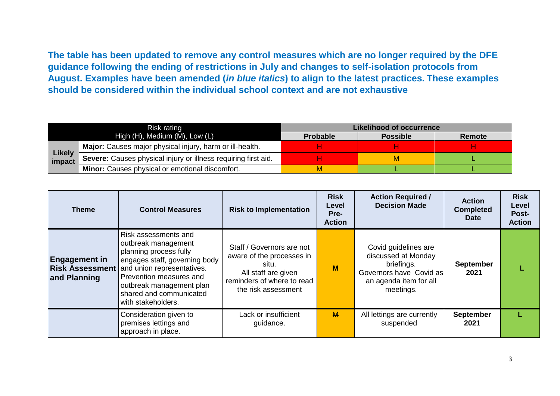**The table has been updated to remove any control measures which are no longer required by the DFE guidance following the ending of restrictions in July and changes to self-isolation protocols from August. Examples have been amended (***in blue italics***) to align to the latest practices. These examples should be considered within the individual school context and are not exhaustive**

|                         | Risk rating                                                    |                 | <b>Likelihood of occurrence</b> |        |
|-------------------------|----------------------------------------------------------------|-----------------|---------------------------------|--------|
|                         | High $(H)$ , Medium $(M)$ , Low $(L)$                          | <b>Probable</b> | <b>Possible</b>                 | Remote |
|                         | Major: Causes major physical injury, harm or ill-health.       |                 |                                 |        |
| <b>Likely</b><br>impact | Severe: Causes physical injury or illness requiring first aid. |                 | м                               |        |
|                         | Minor: Causes physical or emotional discomfort.                |                 |                                 |        |

| <b>Theme</b>                         | <b>Control Measures</b>                                                                                                                                                                                                                                             | <b>Risk to Implementation</b>                                                                                                               | <b>Risk</b><br>Level<br>Pre-<br><b>Action</b> | <b>Action Required /</b><br><b>Decision Made</b>                                                                            | <b>Action</b><br><b>Completed</b><br><b>Date</b> | <b>Risk</b><br>Level<br>Post-<br><b>Action</b> |
|--------------------------------------|---------------------------------------------------------------------------------------------------------------------------------------------------------------------------------------------------------------------------------------------------------------------|---------------------------------------------------------------------------------------------------------------------------------------------|-----------------------------------------------|-----------------------------------------------------------------------------------------------------------------------------|--------------------------------------------------|------------------------------------------------|
| <b>Engagement in</b><br>and Planning | Risk assessments and<br>outbreak management<br>planning process fully<br>engages staff, governing body<br><b>Risk Assessment</b> and union representatives.<br>Prevention measures and<br>outbreak management plan<br>shared and communicated<br>with stakeholders. | Staff / Governors are not<br>aware of the processes in<br>situ.<br>All staff are given<br>reminders of where to read<br>the risk assessment | M                                             | Covid guidelines are<br>discussed at Monday<br>briefings.<br>Governors have Covid as<br>an agenda item for all<br>meetings. | <b>September</b><br>2021                         |                                                |
|                                      | Consideration given to<br>premises lettings and<br>approach in place.                                                                                                                                                                                               | Lack or insufficient<br>guidance.                                                                                                           | M                                             | All lettings are currently<br>suspended                                                                                     | <b>September</b><br>2021                         |                                                |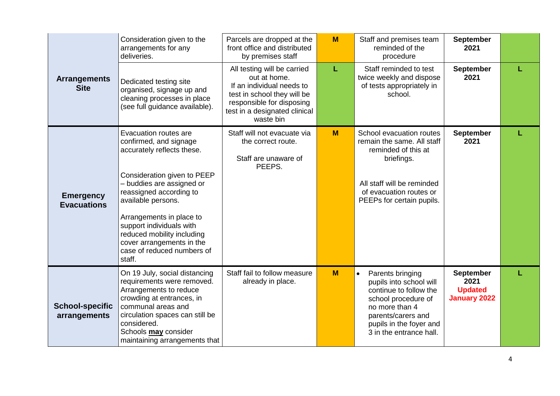|                                        | Consideration given to the<br>arrangements for any<br>deliveries.                                                                                                                                                                                                                                                                                     | Parcels are dropped at the<br>front office and distributed<br>by premises staff                                                                                                    | M | Staff and premises team<br>reminded of the<br>procedure                                                                                                                                                 | <b>September</b><br>2021                                          |   |
|----------------------------------------|-------------------------------------------------------------------------------------------------------------------------------------------------------------------------------------------------------------------------------------------------------------------------------------------------------------------------------------------------------|------------------------------------------------------------------------------------------------------------------------------------------------------------------------------------|---|---------------------------------------------------------------------------------------------------------------------------------------------------------------------------------------------------------|-------------------------------------------------------------------|---|
| <b>Arrangements</b><br><b>Site</b>     | Dedicated testing site<br>organised, signage up and<br>cleaning processes in place<br>(see full guidance available).                                                                                                                                                                                                                                  | All testing will be carried<br>out at home.<br>If an individual needs to<br>test in school they will be<br>responsible for disposing<br>test in a designated clinical<br>waste bin | L | Staff reminded to test<br>twice weekly and dispose<br>of tests appropriately in<br>school.                                                                                                              | <b>September</b><br>2021                                          | L |
| <b>Emergency</b><br><b>Evacuations</b> | Evacuation routes are<br>confirmed, and signage<br>accurately reflects these.<br>Consideration given to PEEP<br>- buddies are assigned or<br>reassigned according to<br>available persons.<br>Arrangements in place to<br>support individuals with<br>reduced mobility including<br>cover arrangements in the<br>case of reduced numbers of<br>staff. | Staff will not evacuate via<br>the correct route.<br>Staff are unaware of<br>PEEPS.                                                                                                | M | School evacuation routes<br>remain the same. All staff<br>reminded of this at<br>briefings.<br>All staff will be reminded<br>of evacuation routes or<br>PEEPs for certain pupils.                       | <b>September</b><br>2021                                          |   |
| <b>School-specific</b><br>arrangements | On 19 July, social distancing<br>requirements were removed.<br>Arrangements to reduce<br>crowding at entrances, in<br>communal areas and<br>circulation spaces can still be<br>considered.<br>Schools may consider<br>maintaining arrangements that                                                                                                   | Staff fail to follow measure<br>already in place.                                                                                                                                  | M | Parents bringing<br>$\bullet$<br>pupils into school will<br>continue to follow the<br>school procedure of<br>no more than 4<br>parents/carers and<br>pupils in the foyer and<br>3 in the entrance hall. | <b>September</b><br>2021<br><b>Updated</b><br><b>January 2022</b> |   |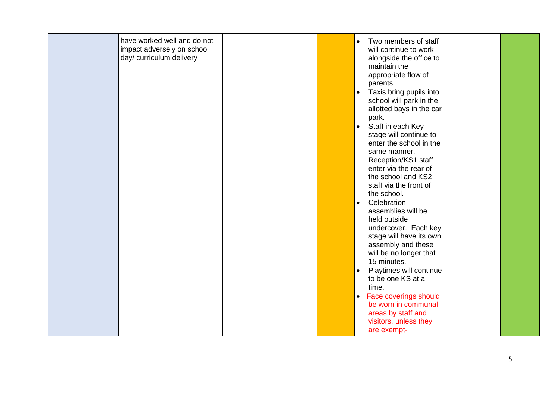| have worked well and do not<br>impact adversely on school<br>day/ curriculum delivery | Two members of staff<br>$\bullet$<br>will continue to work<br>alongside the office to                                   |
|---------------------------------------------------------------------------------------|-------------------------------------------------------------------------------------------------------------------------|
|                                                                                       | maintain the<br>appropriate flow of<br>parents<br>Taxis bring pupils into<br>$\bullet$                                  |
|                                                                                       | school will park in the<br>allotted bays in the car<br>park.<br>Staff in each Key<br>$\bullet$                          |
|                                                                                       | stage will continue to<br>enter the school in the<br>same manner.<br>Reception/KS1 staff                                |
|                                                                                       | enter via the rear of<br>the school and KS2<br>staff via the front of<br>the school.                                    |
|                                                                                       | Celebration<br>$\bullet$<br>assemblies will be<br>held outside<br>undercover. Each key                                  |
|                                                                                       | stage will have its own<br>assembly and these<br>will be no longer that<br>15 minutes.                                  |
|                                                                                       | Playtimes will continue<br>$\bullet$<br>to be one KS at a<br>time.                                                      |
|                                                                                       | Face coverings should<br>$\bullet$<br>be worn in communal<br>areas by staff and<br>visitors, unless they<br>are exempt- |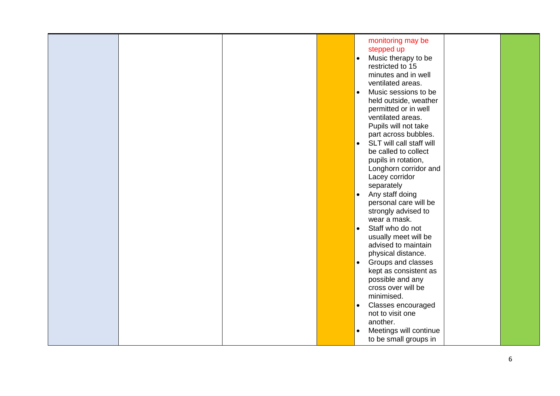|  |  | monitoring may be<br>stepped up<br>Music therapy to be<br>$\bullet$<br>restricted to 15<br>minutes and in well<br>ventilated areas.<br>Music sessions to be<br>$\bullet$<br>held outside, weather<br>permitted or in well<br>ventilated areas.<br>Pupils will not take<br>part across bubbles.<br>SLT will call staff will<br>$\bullet$<br>be called to collect |
|--|--|-----------------------------------------------------------------------------------------------------------------------------------------------------------------------------------------------------------------------------------------------------------------------------------------------------------------------------------------------------------------|
|  |  | pupils in rotation,<br>Longhorn corridor and<br>Lacey corridor<br>separately<br>Any staff doing<br>$\bullet$<br>personal care will be<br>strongly advised to<br>wear a mask.<br>Staff who do not<br>$\bullet$                                                                                                                                                   |
|  |  | usually meet will be<br>advised to maintain<br>physical distance.<br>Groups and classes<br>$\bullet$<br>kept as consistent as<br>possible and any<br>cross over will be<br>minimised.<br><b>Classes encouraged</b><br>$\bullet$<br>not to visit one                                                                                                             |
|  |  | another.<br>Meetings will continue<br>$\bullet$<br>to be small groups in                                                                                                                                                                                                                                                                                        |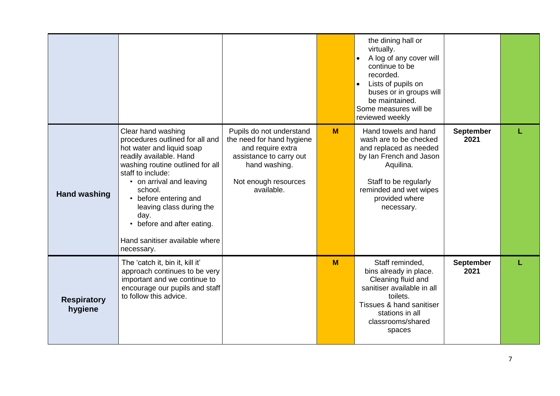|                               |                                                                                                                                                                                                                                                                                                                                                          |                                                                                                                                                              |   | the dining hall or<br>virtually.<br>A log of any cover will<br>continue to be<br>recorded.<br>Lists of pupils on<br>buses or in groups will<br>be maintained.<br>Some measures will be<br>reviewed weekly |                          |  |
|-------------------------------|----------------------------------------------------------------------------------------------------------------------------------------------------------------------------------------------------------------------------------------------------------------------------------------------------------------------------------------------------------|--------------------------------------------------------------------------------------------------------------------------------------------------------------|---|-----------------------------------------------------------------------------------------------------------------------------------------------------------------------------------------------------------|--------------------------|--|
| <b>Hand washing</b>           | Clear hand washing<br>procedures outlined for all and<br>hot water and liquid soap<br>readily available. Hand<br>washing routine outlined for all<br>staff to include:<br>• on arrival and leaving<br>school.<br>• before entering and<br>leaving class during the<br>day.<br>• before and after eating.<br>Hand sanitiser available where<br>necessary. | Pupils do not understand<br>the need for hand hygiene<br>and require extra<br>assistance to carry out<br>hand washing.<br>Not enough resources<br>available. | M | Hand towels and hand<br>wash are to be checked<br>and replaced as needed<br>by Ian French and Jason<br>Aquilina.<br>Staff to be regularly<br>reminded and wet wipes<br>provided where<br>necessary.       | September<br>2021        |  |
| <b>Respiratory</b><br>hygiene | The 'catch it, bin it, kill it'<br>approach continues to be very<br>important and we continue to<br>encourage our pupils and staff<br>to follow this advice.                                                                                                                                                                                             |                                                                                                                                                              | M | Staff reminded,<br>bins already in place.<br>Cleaning fluid and<br>sanitiser available in all<br>toilets.<br>Tissues & hand sanitiser<br>stations in all<br>classrooms/shared<br>spaces                   | <b>September</b><br>2021 |  |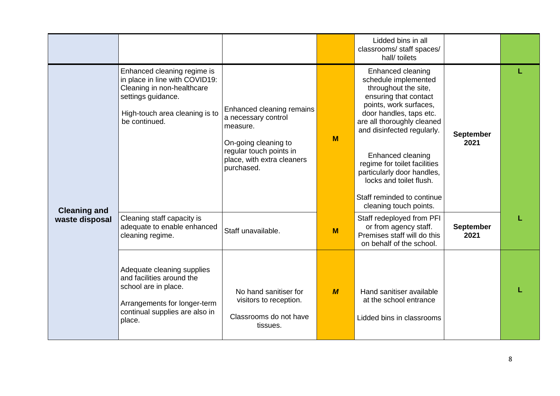|                     |                                                                                                                                                                      |                                                                                                                                                             |                  | Lidded bins in all<br>classrooms/ staff spaces/<br>hall/ toilets                                                                                                                                                                                                                                                                                                                  |                          |  |
|---------------------|----------------------------------------------------------------------------------------------------------------------------------------------------------------------|-------------------------------------------------------------------------------------------------------------------------------------------------------------|------------------|-----------------------------------------------------------------------------------------------------------------------------------------------------------------------------------------------------------------------------------------------------------------------------------------------------------------------------------------------------------------------------------|--------------------------|--|
| <b>Cleaning and</b> | Enhanced cleaning regime is<br>in place in line with COVID19:<br>Cleaning in non-healthcare<br>settings guidance.<br>High-touch area cleaning is to<br>be continued. | Enhanced cleaning remains<br>a necessary control<br>measure.<br>On-going cleaning to<br>regular touch points in<br>place, with extra cleaners<br>purchased. | M                | Enhanced cleaning<br>schedule implemented<br>throughout the site,<br>ensuring that contact<br>points, work surfaces,<br>door handles, taps etc.<br>are all thoroughly cleaned<br>and disinfected regularly.<br>Enhanced cleaning<br>regime for toilet facilities<br>particularly door handles,<br>locks and toilet flush.<br>Staff reminded to continue<br>cleaning touch points. | <b>September</b><br>2021 |  |
| waste disposal      | Cleaning staff capacity is<br>adequate to enable enhanced<br>cleaning regime.                                                                                        | Staff unavailable.                                                                                                                                          | M                | Staff redeployed from PFI<br>or from agency staff.<br>Premises staff will do this<br>on behalf of the school.                                                                                                                                                                                                                                                                     | <b>September</b><br>2021 |  |
|                     | Adequate cleaning supplies<br>and facilities around the<br>school are in place.<br>Arrangements for longer-term<br>continual supplies are also in<br>place.          | No hand sanitiser for<br>visitors to reception.<br>Classrooms do not have<br>tissues.                                                                       | $\boldsymbol{M}$ | Hand sanitiser available<br>at the school entrance<br>Lidded bins in classrooms                                                                                                                                                                                                                                                                                                   |                          |  |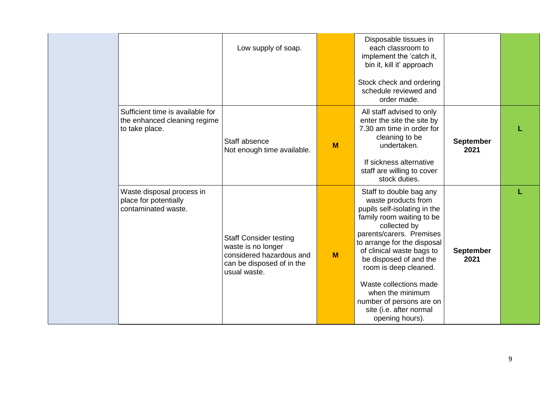|                                                                                    | Low supply of soap.                                                                                                          |   | Disposable tissues in<br>each classroom to<br>implement the 'catch it,<br>bin it, kill it' approach<br>Stock check and ordering<br>schedule reviewed and<br>order made.                                                                                                                                                                                                                        |                          |  |
|------------------------------------------------------------------------------------|------------------------------------------------------------------------------------------------------------------------------|---|------------------------------------------------------------------------------------------------------------------------------------------------------------------------------------------------------------------------------------------------------------------------------------------------------------------------------------------------------------------------------------------------|--------------------------|--|
| Sufficient time is available for<br>the enhanced cleaning regime<br>to take place. | Staff absence<br>Not enough time available.                                                                                  | M | All staff advised to only<br>enter the site the site by<br>7.30 am time in order for<br>cleaning to be<br>undertaken.<br>If sickness alternative<br>staff are willing to cover<br>stock duties.                                                                                                                                                                                                | <b>September</b><br>2021 |  |
| Waste disposal process in<br>place for potentially<br>contaminated waste.          | <b>Staff Consider testing</b><br>waste is no longer<br>considered hazardous and<br>can be disposed of in the<br>usual waste. | M | Staff to double bag any<br>waste products from<br>pupils self-isolating in the<br>family room waiting to be<br>collected by<br>parents/carers. Premises<br>to arrange for the disposal<br>of clinical waste bags to<br>be disposed of and the<br>room is deep cleaned.<br>Waste collections made<br>when the minimum<br>number of persons are on<br>site (i.e. after normal<br>opening hours). | <b>September</b><br>2021 |  |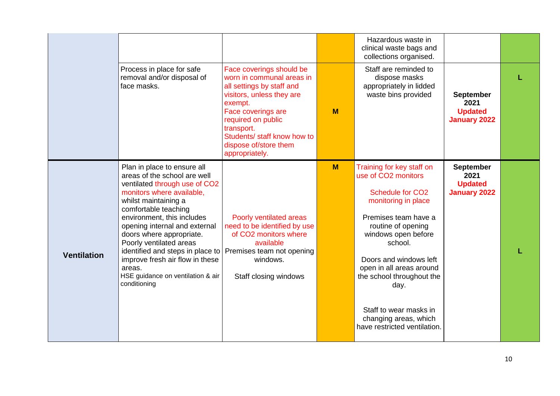|                    |                                                                                                                                                                                                                                                                                                                                                                                                                                       |                                                                                                                                                                                                                                                                |   | Hazardous waste in<br>clinical waste bags and<br>collections organised.                                                                                                                                                                                                                                                                                          |                                                                   |  |
|--------------------|---------------------------------------------------------------------------------------------------------------------------------------------------------------------------------------------------------------------------------------------------------------------------------------------------------------------------------------------------------------------------------------------------------------------------------------|----------------------------------------------------------------------------------------------------------------------------------------------------------------------------------------------------------------------------------------------------------------|---|------------------------------------------------------------------------------------------------------------------------------------------------------------------------------------------------------------------------------------------------------------------------------------------------------------------------------------------------------------------|-------------------------------------------------------------------|--|
|                    | Process in place for safe<br>removal and/or disposal of<br>face masks.                                                                                                                                                                                                                                                                                                                                                                | Face coverings should be<br>worn in communal areas in<br>all settings by staff and<br>visitors, unless they are<br>exempt.<br>Face coverings are<br>required on public<br>transport.<br>Students/ staff know how to<br>dispose of/store them<br>appropriately. | M | Staff are reminded to<br>dispose masks<br>appropriately in lidded<br>waste bins provided                                                                                                                                                                                                                                                                         | <b>September</b><br>2021<br><b>Updated</b><br><b>January 2022</b> |  |
| <b>Ventilation</b> | Plan in place to ensure all<br>areas of the school are well<br>ventilated through use of CO2<br>monitors where available,<br>whilst maintaining a<br>comfortable teaching<br>environment, this includes<br>opening internal and external<br>doors where appropriate.<br>Poorly ventilated areas<br>identified and steps in place to<br>improve fresh air flow in these<br>areas.<br>HSE guidance on ventilation & air<br>conditioning | Poorly ventilated areas<br>need to be identified by use<br>of CO2 monitors where<br>available<br>Premises team not opening<br>windows.<br>Staff closing windows                                                                                                | M | Training for key staff on<br>use of CO2 monitors<br><b>Schedule for CO2</b><br>monitoring in place<br>Premises team have a<br>routine of opening<br>windows open before<br>school.<br>Doors and windows left<br>open in all areas around<br>the school throughout the<br>day.<br>Staff to wear masks in<br>changing areas, which<br>have restricted ventilation. | <b>September</b><br>2021<br><b>Updated</b><br><b>January 2022</b> |  |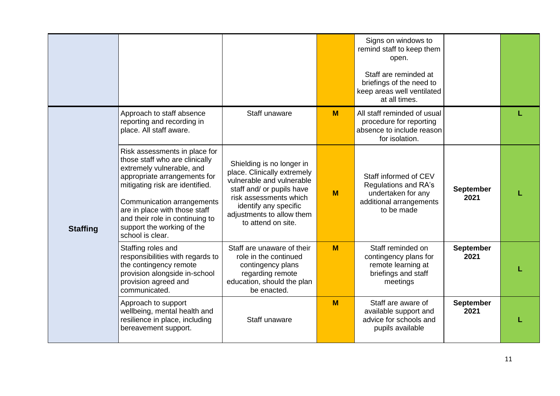|                 |                                                                                                                                                                                                                                                                                                                     |                                                                                                                                                                                                                          |   | Signs on windows to<br>remind staff to keep them<br>open.<br>Staff are reminded at<br>briefings of the need to<br>keep areas well ventilated<br>at all times. |                          |  |
|-----------------|---------------------------------------------------------------------------------------------------------------------------------------------------------------------------------------------------------------------------------------------------------------------------------------------------------------------|--------------------------------------------------------------------------------------------------------------------------------------------------------------------------------------------------------------------------|---|---------------------------------------------------------------------------------------------------------------------------------------------------------------|--------------------------|--|
|                 | Approach to staff absence<br>reporting and recording in<br>place. All staff aware.                                                                                                                                                                                                                                  | Staff unaware                                                                                                                                                                                                            | M | All staff reminded of usual<br>procedure for reporting<br>absence to include reason<br>for isolation.                                                         |                          |  |
| <b>Staffing</b> | Risk assessments in place for<br>those staff who are clinically<br>extremely vulnerable, and<br>appropriate arrangements for<br>mitigating risk are identified.<br>Communication arrangements<br>are in place with those staff<br>and their role in continuing to<br>support the working of the<br>school is clear. | Shielding is no longer in<br>place. Clinically extremely<br>vulnerable and vulnerable<br>staff and/ or pupils have<br>risk assessments which<br>identify any specific<br>adjustments to allow them<br>to attend on site. | M | Staff informed of CEV<br>Regulations and RA's<br>undertaken for any<br>additional arrangements<br>to be made                                                  | <b>September</b><br>2021 |  |
|                 | Staffing roles and<br>responsibilities with regards to<br>the contingency remote<br>provision alongside in-school<br>provision agreed and<br>communicated.                                                                                                                                                          | Staff are unaware of their<br>role in the continued<br>contingency plans<br>regarding remote<br>education, should the plan<br>be enacted.                                                                                | M | Staff reminded on<br>contingency plans for<br>remote learning at<br>briefings and staff<br>meetings                                                           | <b>September</b><br>2021 |  |
|                 | Approach to support<br>wellbeing, mental health and<br>resilience in place, including<br>bereavement support.                                                                                                                                                                                                       | Staff unaware                                                                                                                                                                                                            | M | Staff are aware of<br>available support and<br>advice for schools and<br>pupils available                                                                     | <b>September</b><br>2021 |  |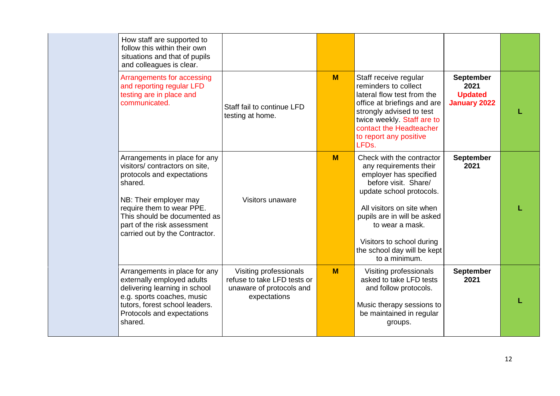| How staff are supported to<br>follow this within their own<br>situations and that of pupils<br>and colleagues is clear.                                                                                                                                          |                                                                                                   |   |                                                                                                                                                                                                                                                                                               |                                                                   |  |
|------------------------------------------------------------------------------------------------------------------------------------------------------------------------------------------------------------------------------------------------------------------|---------------------------------------------------------------------------------------------------|---|-----------------------------------------------------------------------------------------------------------------------------------------------------------------------------------------------------------------------------------------------------------------------------------------------|-------------------------------------------------------------------|--|
| Arrangements for accessing<br>and reporting regular LFD<br>testing are in place and<br>communicated.                                                                                                                                                             | Staff fail to continue LFD<br>testing at home.                                                    | M | Staff receive regular<br>reminders to collect<br>lateral flow test from the<br>office at briefings and are<br>strongly advised to test<br>twice weekly. Staff are to<br>contact the Headteacher<br>to report any positive<br>LFDs.                                                            | <b>September</b><br>2021<br><b>Updated</b><br><b>January 2022</b> |  |
| Arrangements in place for any<br>visitors/ contractors on site,<br>protocols and expectations<br>shared.<br>NB: Their employer may<br>require them to wear PPE.<br>This should be documented as<br>part of the risk assessment<br>carried out by the Contractor. | Visitors unaware                                                                                  | M | Check with the contractor<br>any requirements their<br>employer has specified<br>before visit. Share/<br>update school protocols.<br>All visitors on site when<br>pupils are in will be asked<br>to wear a mask.<br>Visitors to school during<br>the school day will be kept<br>to a minimum. | <b>September</b><br>2021                                          |  |
| Arrangements in place for any<br>externally employed adults<br>delivering learning in school<br>e.g. sports coaches, music<br>tutors, forest school leaders.<br>Protocols and expectations<br>shared.                                                            | Visiting professionals<br>refuse to take LFD tests or<br>unaware of protocols and<br>expectations | M | Visiting professionals<br>asked to take LFD tests<br>and follow protocols.<br>Music therapy sessions to<br>be maintained in regular<br>groups.                                                                                                                                                | <b>September</b><br>2021                                          |  |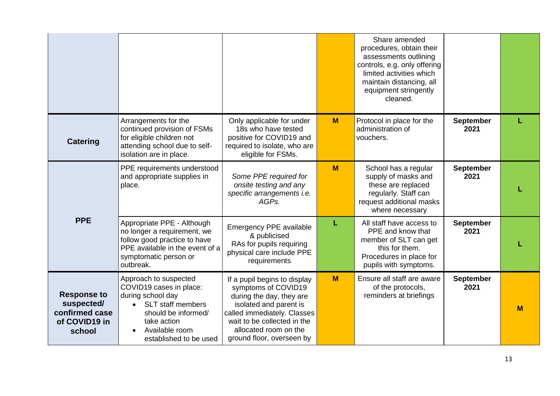|                                                                               |                                                                                                                                                                                     |                                                                                                                                                                                                                               |   | Share amended<br>procedures, obtain their<br>assessments outlining<br>controls, e.g. only offering<br>limited activities which<br>maintain distancing, all<br>equipment stringently<br>cleaned. |                          |   |
|-------------------------------------------------------------------------------|-------------------------------------------------------------------------------------------------------------------------------------------------------------------------------------|-------------------------------------------------------------------------------------------------------------------------------------------------------------------------------------------------------------------------------|---|-------------------------------------------------------------------------------------------------------------------------------------------------------------------------------------------------|--------------------------|---|
| <b>Catering</b>                                                               | Arrangements for the<br>continued provision of FSMs<br>for eligible children not<br>attending school due to self-<br>isolation are in place.                                        | Only applicable for under<br>18s who have tested<br>positive for COVID19 and<br>required to isolate, who are<br>eligible for FSMs.                                                                                            | M | Protocol in place for the<br>administration of<br>vouchers.                                                                                                                                     | <b>September</b><br>2021 |   |
|                                                                               | PPE requirements understood<br>and appropriate supplies in<br>place.                                                                                                                | Some PPE required for<br>onsite testing and any<br>specific arrangements i.e.<br>AGP <sub>s</sub> .                                                                                                                           | M | School has a regular<br>supply of masks and<br>these are replaced<br>regularly. Staff can<br>request additional masks<br>where necessary                                                        | <b>September</b><br>2021 |   |
| <b>PPE</b>                                                                    | Appropriate PPE - Although<br>no longer a requirement, we<br>follow good practice to have<br>PPE available in the event of a<br>symptomatic person or<br>outbreak.                  | <b>Emergency PPE available</b><br>& publicised<br>RAs for pupils requiring<br>physical care include PPE<br>requirements                                                                                                       | L | All staff have access to<br>PPE and know that<br>member of SLT can get<br>this for them.<br>Procedures in place for<br>pupils with symptoms.                                                    | <b>September</b><br>2021 |   |
| <b>Response to</b><br>suspected/<br>confirmed case<br>of COVID19 in<br>school | Approach to suspected<br>COVID19 cases in place:<br>during school day<br><b>SLT</b> staff members<br>should be informed/<br>take action<br>Available room<br>established to be used | If a pupil begins to display<br>symptoms of COVID19<br>during the day, they are<br>isolated and parent is<br>called immediately. Classes<br>wait to be collected in the<br>allocated room on the<br>ground floor, overseen by | M | Ensure all staff are aware<br>of the protocols,<br>reminders at briefings                                                                                                                       | <b>September</b><br>2021 | M |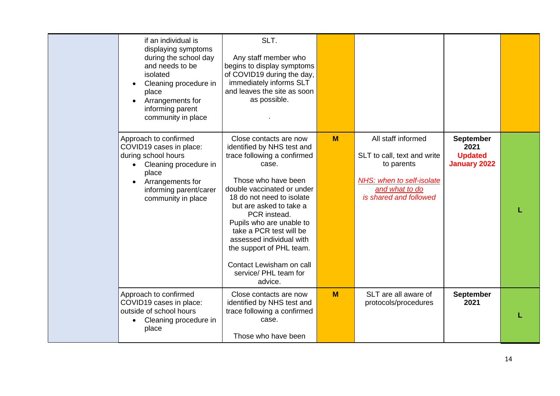| if an individual is<br>displaying symptoms<br>during the school day<br>and needs to be<br>isolated<br>Cleaning procedure in<br>place<br>Arrangements for<br>informing parent<br>community in place | SLT.<br>Any staff member who<br>begins to display symptoms<br>of COVID19 during the day,<br>immediately informs SLT<br>and leaves the site as soon<br>as possible.                                                                                                                                                                                                                                       |   |                                                                                                                                          |                                                                   |  |
|----------------------------------------------------------------------------------------------------------------------------------------------------------------------------------------------------|----------------------------------------------------------------------------------------------------------------------------------------------------------------------------------------------------------------------------------------------------------------------------------------------------------------------------------------------------------------------------------------------------------|---|------------------------------------------------------------------------------------------------------------------------------------------|-------------------------------------------------------------------|--|
| Approach to confirmed<br>COVID19 cases in place:<br>during school hours<br>Cleaning procedure in<br>place<br>Arrangements for<br>informing parent/carer<br>community in place                      | Close contacts are now<br>identified by NHS test and<br>trace following a confirmed<br>case.<br>Those who have been<br>double vaccinated or under<br>18 do not need to isolate<br>but are asked to take a<br>PCR instead.<br>Pupils who are unable to<br>take a PCR test will be<br>assessed individual with<br>the support of PHL team.<br>Contact Lewisham on call<br>service/ PHL team for<br>advice. | M | All staff informed<br>SLT to call, text and write<br>to parents<br>NHS: when to self-isolate<br>and what to do<br>is shared and followed | <b>September</b><br>2021<br><b>Updated</b><br><b>January 2022</b> |  |
| Approach to confirmed<br>COVID19 cases in place:<br>outside of school hours<br>Cleaning procedure in<br>$\bullet$<br>place                                                                         | Close contacts are now<br>identified by NHS test and<br>trace following a confirmed<br>case.<br>Those who have been                                                                                                                                                                                                                                                                                      | M | SLT are all aware of<br>protocols/procedures                                                                                             | <b>September</b><br>2021                                          |  |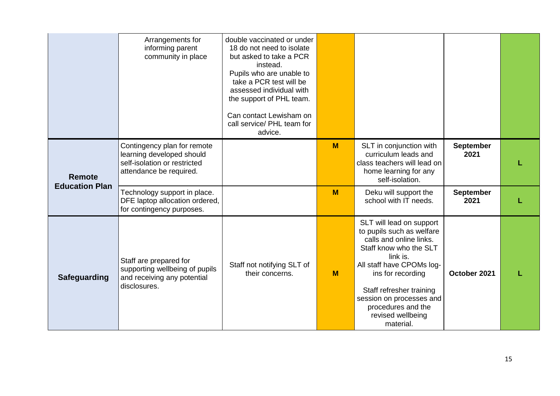|                       | Arrangements for<br>informing parent<br>community in place                                                          | double vaccinated or under<br>18 do not need to isolate<br>but asked to take a PCR<br>instead.<br>Pupils who are unable to<br>take a PCR test will be<br>assessed individual with<br>the support of PHL team.<br>Can contact Lewisham on<br>call service/ PHL team for<br>advice. |   |                                                                                                                                                                                                                                                                                          |                          |  |
|-----------------------|---------------------------------------------------------------------------------------------------------------------|-----------------------------------------------------------------------------------------------------------------------------------------------------------------------------------------------------------------------------------------------------------------------------------|---|------------------------------------------------------------------------------------------------------------------------------------------------------------------------------------------------------------------------------------------------------------------------------------------|--------------------------|--|
| Remote                | Contingency plan for remote<br>learning developed should<br>self-isolation or restricted<br>attendance be required. |                                                                                                                                                                                                                                                                                   | M | SLT in conjunction with<br>curriculum leads and<br>class teachers will lead on<br>home learning for any<br>self-isolation.                                                                                                                                                               | <b>September</b><br>2021 |  |
| <b>Education Plan</b> | Technology support in place.<br>DFE laptop allocation ordered,<br>for contingency purposes.                         |                                                                                                                                                                                                                                                                                   | M | Deku will support the<br>school with IT needs.                                                                                                                                                                                                                                           | <b>September</b><br>2021 |  |
| <b>Safeguarding</b>   | Staff are prepared for<br>supporting wellbeing of pupils<br>and receiving any potential<br>disclosures.             | Staff not notifying SLT of<br>their concerns.                                                                                                                                                                                                                                     | M | SLT will lead on support<br>to pupils such as welfare<br>calls and online links.<br>Staff know who the SLT<br>link is.<br>All staff have CPOMs log-<br>ins for recording<br>Staff refresher training<br>session on processes and<br>procedures and the<br>revised wellbeing<br>material. | October 2021             |  |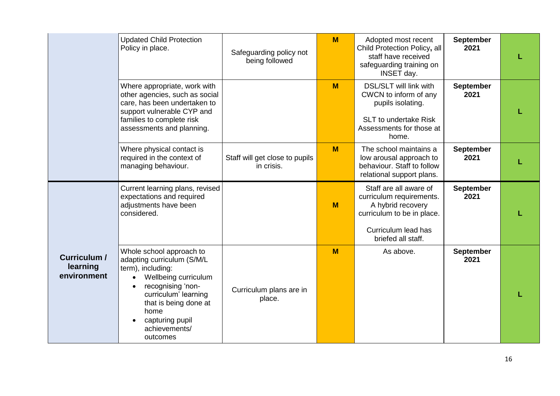|                                                | <b>Updated Child Protection</b><br>Policy in place.                                                                                                                                                                               | Safeguarding policy not<br>being followed    | M | Adopted most recent<br>Child Protection Policy, all<br>staff have received<br>safeguarding training on<br>INSET day.                               | <b>September</b><br>2021 |  |
|------------------------------------------------|-----------------------------------------------------------------------------------------------------------------------------------------------------------------------------------------------------------------------------------|----------------------------------------------|---|----------------------------------------------------------------------------------------------------------------------------------------------------|--------------------------|--|
|                                                | Where appropriate, work with<br>other agencies, such as social<br>care, has been undertaken to<br>support vulnerable CYP and<br>families to complete risk<br>assessments and planning.                                            |                                              | M | DSL/SLT will link with<br>CWCN to inform of any<br>pupils isolating.<br><b>SLT</b> to undertake Risk<br>Assessments for those at<br>home.          | <b>September</b><br>2021 |  |
|                                                | Where physical contact is<br>required in the context of<br>managing behaviour.                                                                                                                                                    | Staff will get close to pupils<br>in crisis. | M | The school maintains a<br>low arousal approach to<br>behaviour. Staff to follow<br>relational support plans.                                       | <b>September</b><br>2021 |  |
|                                                | Current learning plans, revised<br>expectations and required<br>adjustments have been<br>considered.                                                                                                                              |                                              | M | Staff are all aware of<br>curriculum requirements.<br>A hybrid recovery<br>curriculum to be in place.<br>Curriculum lead has<br>briefed all staff. | <b>September</b><br>2021 |  |
| <b>Curriculum /</b><br>learning<br>environment | Whole school approach to<br>adapting curriculum (S/M/L<br>term), including:<br>Wellbeing curriculum<br>recognising 'non-<br>curriculum' learning<br>that is being done at<br>home<br>capturing pupil<br>achievements/<br>outcomes | Curriculum plans are in<br>place.            | M | As above.                                                                                                                                          | <b>September</b><br>2021 |  |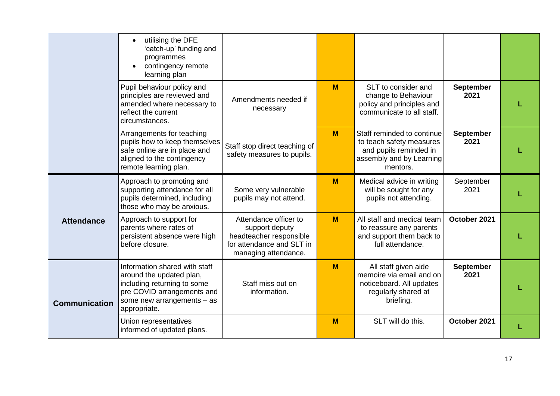|                      | utilising the DFE<br>'catch-up' funding and<br>programmes<br>contingency remote<br>learning plan                                                                       |                                                                                                                         |   |                                                                                                                          |                          |  |
|----------------------|------------------------------------------------------------------------------------------------------------------------------------------------------------------------|-------------------------------------------------------------------------------------------------------------------------|---|--------------------------------------------------------------------------------------------------------------------------|--------------------------|--|
|                      | Pupil behaviour policy and<br>principles are reviewed and<br>amended where necessary to<br>reflect the current<br>circumstances.                                       | Amendments needed if<br>necessary                                                                                       | M | SLT to consider and<br>change to Behaviour<br>policy and principles and<br>communicate to all staff.                     | <b>September</b><br>2021 |  |
|                      | Arrangements for teaching<br>pupils how to keep themselves<br>safe online are in place and<br>aligned to the contingency<br>remote learning plan.                      | Staff stop direct teaching of<br>safety measures to pupils.                                                             | M | Staff reminded to continue<br>to teach safety measures<br>and pupils reminded in<br>assembly and by Learning<br>mentors. | <b>September</b><br>2021 |  |
|                      | Approach to promoting and<br>supporting attendance for all<br>pupils determined, including<br>those who may be anxious.                                                | Some very vulnerable<br>pupils may not attend.                                                                          | M | Medical advice in writing<br>will be sought for any<br>pupils not attending.                                             | September<br>2021        |  |
| <b>Attendance</b>    | Approach to support for<br>parents where rates of<br>persistent absence were high<br>before closure.                                                                   | Attendance officer to<br>support deputy<br>headteacher responsible<br>for attendance and SLT in<br>managing attendance. | M | All staff and medical team<br>to reassure any parents<br>and support them back to<br>full attendance.                    | October 2021             |  |
| <b>Communication</b> | Information shared with staff<br>around the updated plan,<br>including returning to some<br>pre COVID arrangements and<br>some new arrangements $-$ as<br>appropriate. | Staff miss out on<br>information.                                                                                       | M | All staff given aide<br>memoire via email and on<br>noticeboard. All updates<br>regularly shared at<br>briefing.         | <b>September</b><br>2021 |  |
|                      | Union representatives<br>informed of updated plans.                                                                                                                    |                                                                                                                         | M | SLT will do this.                                                                                                        | October 2021             |  |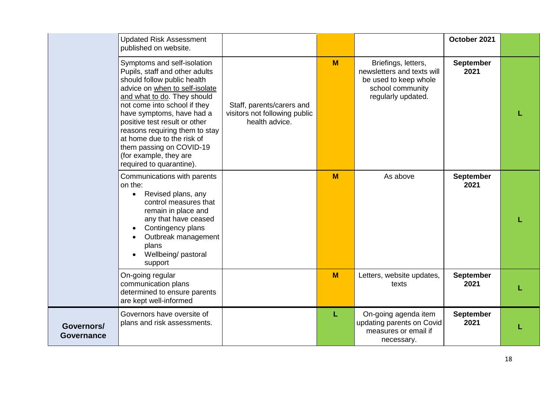|                                 | <b>Updated Risk Assessment</b><br>published on website.                                                                                                                                                                                                                                                                                                                                                       |                                                                              |   |                                                                                                                      | October 2021             |  |
|---------------------------------|---------------------------------------------------------------------------------------------------------------------------------------------------------------------------------------------------------------------------------------------------------------------------------------------------------------------------------------------------------------------------------------------------------------|------------------------------------------------------------------------------|---|----------------------------------------------------------------------------------------------------------------------|--------------------------|--|
|                                 | Symptoms and self-isolation<br>Pupils, staff and other adults<br>should follow public health<br>advice on when to self-isolate<br>and what to do. They should<br>not come into school if they<br>have symptoms, have had a<br>positive test result or other<br>reasons requiring them to stay<br>at home due to the risk of<br>them passing on COVID-19<br>(for example, they are<br>required to quarantine). | Staff, parents/carers and<br>visitors not following public<br>health advice. | M | Briefings, letters,<br>newsletters and texts will<br>be used to keep whole<br>school community<br>regularly updated. | <b>September</b><br>2021 |  |
|                                 | Communications with parents<br>on the:<br>Revised plans, any<br>$\bullet$<br>control measures that<br>remain in place and<br>any that have ceased<br>Contingency plans<br>Outbreak management<br>plans<br>Wellbeing/pastoral<br>support                                                                                                                                                                       |                                                                              | M | As above                                                                                                             | <b>September</b><br>2021 |  |
|                                 | On-going regular<br>communication plans<br>determined to ensure parents<br>are kept well-informed                                                                                                                                                                                                                                                                                                             |                                                                              | M | Letters, website updates,<br>texts                                                                                   | <b>September</b><br>2021 |  |
| Governors/<br><b>Governance</b> | Governors have oversite of<br>plans and risk assessments.                                                                                                                                                                                                                                                                                                                                                     |                                                                              | L | On-going agenda item<br>updating parents on Covid<br>measures or email if<br>necessary.                              | <b>September</b><br>2021 |  |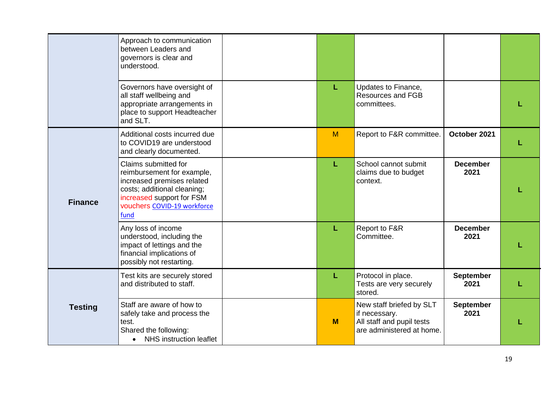|                | Approach to communication<br>between Leaders and<br>governors is clear and<br>understood.                                                                                           |   |                                                                                                     |                          |  |
|----------------|-------------------------------------------------------------------------------------------------------------------------------------------------------------------------------------|---|-----------------------------------------------------------------------------------------------------|--------------------------|--|
|                | Governors have oversight of<br>all staff wellbeing and<br>appropriate arrangements in<br>place to support Headteacher<br>and SLT.                                                   | L | Updates to Finance,<br><b>Resources and FGB</b><br>committees.                                      |                          |  |
|                | Additional costs incurred due<br>to COVID19 are understood<br>and clearly documented.                                                                                               | M | Report to F&R committee.                                                                            | October 2021             |  |
| <b>Finance</b> | Claims submitted for<br>reimbursement for example,<br>increased premises related<br>costs; additional cleaning;<br>increased support for FSM<br>vouchers COVID-19 workforce<br>fund | г | School cannot submit<br>claims due to budget<br>context.                                            | <b>December</b><br>2021  |  |
|                | Any loss of income<br>understood, including the<br>impact of lettings and the<br>financial implications of<br>possibly not restarting.                                              | L | Report to F&R<br>Committee.                                                                         | <b>December</b><br>2021  |  |
|                | Test kits are securely stored<br>and distributed to staff.                                                                                                                          | L | Protocol in place.<br>Tests are very securely<br>stored.                                            | <b>September</b><br>2021 |  |
| <b>Testing</b> | Staff are aware of how to<br>safely take and process the<br>test.<br>Shared the following:<br><b>NHS</b> instruction leaflet<br>$\bullet$                                           | M | New staff briefed by SLT<br>if necessary.<br>All staff and pupil tests<br>are administered at home. | <b>September</b><br>2021 |  |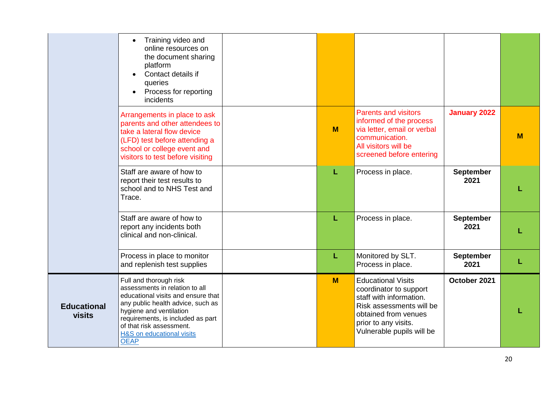|                                     | Training video and<br>$\bullet$<br>online resources on<br>the document sharing<br>platform<br>Contact details if<br>queries<br>Process for reporting<br>incidents                                                                                                           |   |                                                                                                                                                                                         |                          |   |
|-------------------------------------|-----------------------------------------------------------------------------------------------------------------------------------------------------------------------------------------------------------------------------------------------------------------------------|---|-----------------------------------------------------------------------------------------------------------------------------------------------------------------------------------------|--------------------------|---|
|                                     | Arrangements in place to ask<br>parents and other attendees to<br>take a lateral flow device<br>(LFD) test before attending a<br>school or college event and<br>visitors to test before visiting                                                                            | M | <b>Parents and visitors</b><br>informed of the process<br>via letter, email or verbal<br>communication.<br>All visitors will be<br>screened before entering                             | <b>January 2022</b>      | M |
|                                     | Staff are aware of how to<br>report their test results to<br>school and to NHS Test and<br>Trace.                                                                                                                                                                           | L | Process in place.                                                                                                                                                                       | <b>September</b><br>2021 |   |
|                                     | Staff are aware of how to<br>report any incidents both<br>clinical and non-clinical.                                                                                                                                                                                        | L | Process in place.                                                                                                                                                                       | <b>September</b><br>2021 |   |
|                                     | Process in place to monitor<br>and replenish test supplies                                                                                                                                                                                                                  | L | Monitored by SLT.<br>Process in place.                                                                                                                                                  | <b>September</b><br>2021 |   |
| <b>Educational</b><br><b>visits</b> | Full and thorough risk<br>assessments in relation to all<br>educational visits and ensure that<br>any public health advice, such as<br>hygiene and ventilation<br>requirements, is included as part<br>of that risk assessment.<br>H&S on educational visits<br><b>OEAP</b> | M | <b>Educational Visits</b><br>coordinator to support<br>staff with information.<br>Risk assessments will be<br>obtained from venues<br>prior to any visits.<br>Vulnerable pupils will be | October 2021             |   |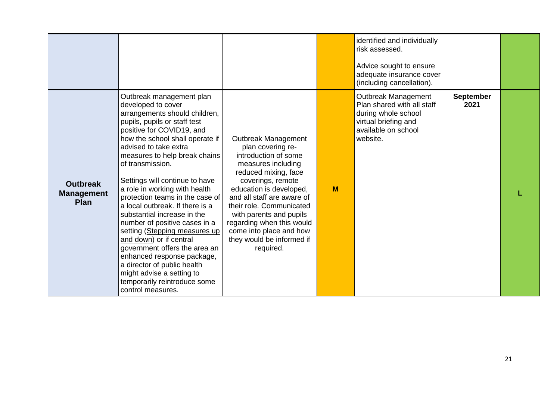|                                              |                                                                                                                                                                                                                                                                                                                                                                                                                                                                                                                                                                                                                                                                                                                    |                                                                                                                                                                                                                                                                                                                                                       |   | identified and individually<br>risk assessed.<br>Advice sought to ensure<br>adequate insurance cover<br>(including cancellation).   |                          |  |
|----------------------------------------------|--------------------------------------------------------------------------------------------------------------------------------------------------------------------------------------------------------------------------------------------------------------------------------------------------------------------------------------------------------------------------------------------------------------------------------------------------------------------------------------------------------------------------------------------------------------------------------------------------------------------------------------------------------------------------------------------------------------------|-------------------------------------------------------------------------------------------------------------------------------------------------------------------------------------------------------------------------------------------------------------------------------------------------------------------------------------------------------|---|-------------------------------------------------------------------------------------------------------------------------------------|--------------------------|--|
| <b>Outbreak</b><br><b>Management</b><br>Plan | Outbreak management plan<br>developed to cover<br>arrangements should children,<br>pupils, pupils or staff test<br>positive for COVID19, and<br>how the school shall operate if<br>advised to take extra<br>measures to help break chains<br>of transmission.<br>Settings will continue to have<br>a role in working with health<br>protection teams in the case of<br>a local outbreak. If there is a<br>substantial increase in the<br>number of positive cases in a<br>setting (Stepping measures up<br>and down) or if central<br>government offers the area an<br>enhanced response package,<br>a director of public health<br>might advise a setting to<br>temporarily reintroduce some<br>control measures. | Outbreak Management<br>plan covering re-<br>introduction of some<br>measures including<br>reduced mixing, face<br>coverings, remote<br>education is developed,<br>and all staff are aware of<br>their role. Communicated<br>with parents and pupils<br>regarding when this would<br>come into place and how<br>they would be informed if<br>required. | M | Outbreak Management<br>Plan shared with all staff<br>during whole school<br>virtual briefing and<br>available on school<br>website. | <b>September</b><br>2021 |  |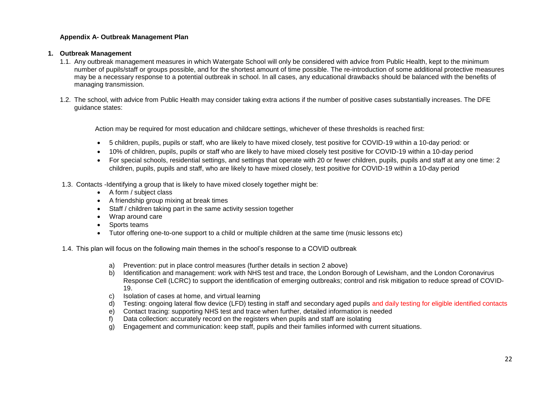#### **Appendix A- Outbreak Management Plan**

#### **1. Outbreak Management**

- 1.1. Any outbreak management measures in which Watergate School will only be considered with advice from Public Health, kept to the minimum number of pupils/staff or groups possible, and for the shortest amount of time possible. The re-introduction of some additional protective measures may be a necessary response to a potential outbreak in school. In all cases, any educational drawbacks should be balanced with the benefits of managing transmission.
- 1.2. The school, with advice from Public Health may consider taking extra actions if the number of positive cases substantially increases. The DFE guidance states:

Action may be required for most education and childcare settings, whichever of these thresholds is reached first:

- 5 children, pupils, pupils or staff, who are likely to have mixed closely, test positive for COVID-19 within a 10-day period: or
- 10% of children, pupils, pupils or staff who are likely to have mixed closely test positive for COVID-19 within a 10-day period
- For special schools, residential settings, and settings that operate with 20 or fewer children, pupils, pupils and staff at any one time: 2 children, pupils, pupils and staff, who are likely to have mixed closely, test positive for COVID-19 within a 10-day period
- 1.3. Contacts -Identifying a group that is likely to have mixed closely together might be:
	- A form / subject class
	- A friendship group mixing at break times
	- Staff / children taking part in the same activity session together
	- Wrap around care
	- Sports teams
	- Tutor offering one-to-one support to a child or multiple children at the same time (music lessons etc)
- 1.4. This plan will focus on the following main themes in the school's response to a COVID outbreak
	- a) Prevention: put in place control measures (further details in section 2 above)
	- b) Identification and management: work with NHS test and trace, the London Borough of Lewisham, and the London Coronavirus Response Cell (LCRC) to support the identification of emerging outbreaks; control and risk mitigation to reduce spread of COVID-19.
	- c) Isolation of cases at home, and virtual learning
	- d) Testing: ongoing lateral flow device (LFD) testing in staff and secondary aged pupils and daily testing for eligible identified contacts
	- e) Contact tracing: supporting NHS test and trace when further, detailed information is needed
	- f) Data collection: accurately record on the registers when pupils and staff are isolating
	- g) Engagement and communication: keep staff, pupils and their families informed with current situations.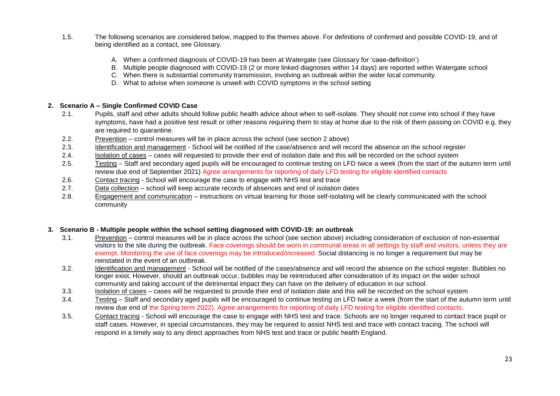- 1.5. The following scenarios are considered below, mapped to the themes above. For definitions of confirmed and possible COVID-19, and of being identified as a contact, see Glossary.
	- A. When a confirmed diagnosis of COVID-19 has been at Watergate (see Glossary for 'case-definition')
	- B. Multiple people diagnosed with COVID-19 (2 or more linked diagnoses within 14 days) are reported within Watergate school
	- C. When there is substantial community transmission, involving an outbreak within the wider local community.
	- D. What to advise when someone is unwell with COVID symptoms in the school setting

#### **2. Scenario A – Single Confirmed COVID Case**

- 2.1. Pupils, staff and other adults should follow public health advice about when to self-isolate. They should not come into school if they have symptoms, have had a positive test result or other reasons requiring them to stay at home due to the risk of them passing on COVID e.g. they are required to quarantine.
- 2.2. Prevention control measures will be in place across the school (see section 2 above)
- 2.3. Identification and management School will be notified of the case/absence and will record the absence on the school register
- 2.4. Isolation of cases cases will requested to provide their end of isolation date and this will be recorded on the school system
- 2.5. Testing Staff and secondary aged pupils will be encouraged to continue testing on LFD twice a week (from the start of the autumn term until review due end of September 2021) Agree arrangements for reporting of daily LFD testing for eligible identified contacts
- 2.6. Contact tracing School will encourage the case to engage with NHS test and trace
- 2.7. Data collection school will keep accurate records of absences and end of isolation dates
- 2.8. Engagement and communication instructions on virtual learning for those self-isolating will be clearly communicated with the school community

#### **3. Scenario B - Multiple people within the school setting diagnosed with COVID-19: an outbreak**

- 3.1. Prevention control measures will be in place across the school (see section above) including consideration of exclusion of non-essential visitors to the site during the outbreak. Face coverings should be worn in communal areas in all settings by staff and visitors, unless they are exempt. Monitoring the use of face coverings may be introduced/increased. Social distancing is no longer a requirement but may be reinstated in the event of an outbreak.
- 3.2. Identification and management School will be notified of the cases/absence and will record the absence on the school register. Bubbles no longer exist. However, should an outbreak occur, bubbles may be reintroduced after consideration of its impact on the wider school community and taking account of the detrimental impact they can have on the delivery of education in our school.
- 3.3. Isolation of cases cases will be requested to provide their end of isolation date and this will be recorded on the school system
- 3.4. Testing Staff and secondary aged pupils will be encouraged to continue testing on LFD twice a week (from the start of the autumn term until review due end of the Spring term 2022). Agree arrangements for reporting of daily LFD testing for eligible identified contacts.
- 3.5. Contact tracing School will encourage the case to engage with NHS test and trace. Schools are no longer required to contact trace pupil or staff cases. However, in special circumstances, they may be required to assist NHS test and trace with contact tracing. The school will respond in a timely way to any direct approaches from NHS test and trace or public health England.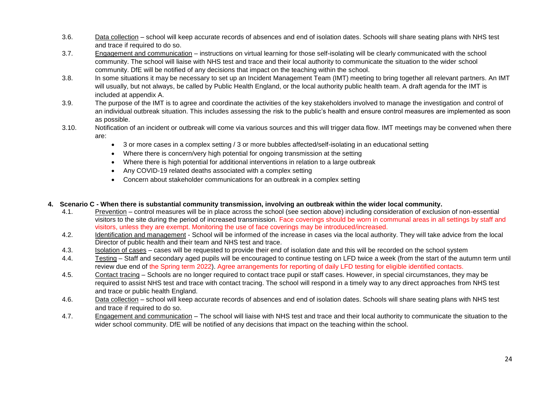- 3.6. Data collection school will keep accurate records of absences and end of isolation dates. Schools will share seating plans with NHS test and trace if required to do so.
- 3.7. Engagement and communication instructions on virtual learning for those self-isolating will be clearly communicated with the school community. The school will liaise with NHS test and trace and their local authority to communicate the situation to the wider school community. DfE will be notified of any decisions that impact on the teaching within the school.
- 3.8. In some situations it may be necessary to set up an Incident Management Team (IMT) meeting to bring together all relevant partners. An IMT will usually, but not always, be called by Public Health England, or the local authority public health team. A draft agenda for the IMT is included at appendix A.
- 3.9. The purpose of the IMT is to agree and coordinate the activities of the key stakeholders involved to manage the investigation and control of an individual outbreak situation. This includes assessing the risk to the public's health and ensure control measures are implemented as soon as possible.
- 3.10. Notification of an incident or outbreak will come via various sources and this will trigger data flow. IMT meetings may be convened when there are:
	- 3 or more cases in a complex setting / 3 or more bubbles affected/self-isolating in an educational setting
	- Where there is concern/very high potential for ongoing transmission at the setting
	- Where there is high potential for additional interventions in relation to a large outbreak
	- Any COVID-19 related deaths associated with a complex setting
	- Concern about stakeholder communications for an outbreak in a complex setting

#### **4. Scenario C - When there is substantial community transmission, involving an outbreak within the wider local community.**

- 4.1. Prevention control measures will be in place across the school (see section above) including consideration of exclusion of non-essential visitors to the site during the period of increased transmission. Face coverings should be worn in communal areas in all settings by staff and visitors, unless they are exempt. Monitoring the use of face coverings may be introduced/increased.
- 4.2. Identification and management School will be informed of the increase in cases via the local authority. They will take advice from the local Director of public health and their team and NHS test and trace.
- 4.3. Isolation of cases cases will be requested to provide their end of isolation date and this will be recorded on the school system
- 4.4. Testing Staff and secondary aged pupils will be encouraged to continue testing on LFD twice a week (from the start of the autumn term until review due end of the Spring term 2022). Agree arrangements for reporting of daily LFD testing for eligible identified contacts.
- 4.5. Contact tracing Schools are no longer required to contact trace pupil or staff cases. However, in special circumstances, they may be required to assist NHS test and trace with contact tracing. The school will respond in a timely way to any direct approaches from NHS test and trace or public health England.
- 4.6. Data collection school will keep accurate records of absences and end of isolation dates. Schools will share seating plans with NHS test and trace if required to do so.
- 4.7. Engagement and communication The school will liaise with NHS test and trace and their local authority to communicate the situation to the wider school community. DfE will be notified of any decisions that impact on the teaching within the school.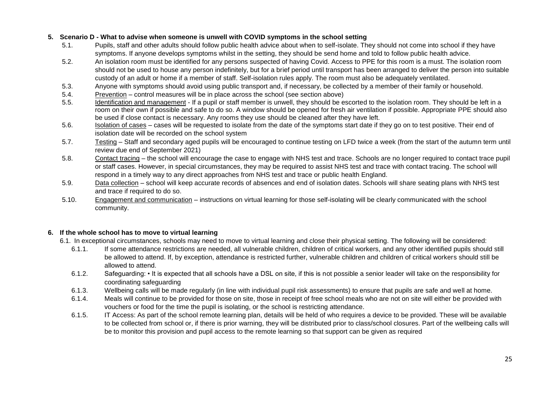### **5. Scenario D - What to advise when someone is unwell with COVID symptoms in the school setting**

- 5.1. Pupils, staff and other adults should follow public health advice about when to self-isolate. They should not come into school if they have symptoms. If anyone develops symptoms whilst in the setting, they should be send home and told to follow public health advice.
- 5.2. An isolation room must be identified for any persons suspected of having Covid. Access to PPE for this room is a must. The isolation room should not be used to house any person indefinitely, but for a brief period until transport has been arranged to deliver the person into suitable custody of an adult or home if a member of staff. Self-isolation rules apply. The room must also be adequately ventilated.
- 5.3. Anyone with symptoms should avoid using public transport and, if necessary, be collected by a member of their family or household.
- 5.4. Prevention control measures will be in place across the school (see section above)
- 5.5. Identification and management If a pupil or staff member is unwell, they should be escorted to the isolation room. They should be left in a room on their own if possible and safe to do so. A window should be opened for fresh air ventilation if possible. Appropriate PPE should also be used if close contact is necessary. Any rooms they use should be cleaned after they have left.
- 5.6. Isolation of cases cases will be requested to isolate from the date of the symptoms start date if they go on to test positive. Their end of isolation date will be recorded on the school system
- 5.7. Testing Staff and secondary aged pupils will be encouraged to continue testing on LFD twice a week (from the start of the autumn term until review due end of September 2021)
- 5.8. Contact tracing the school will encourage the case to engage with NHS test and trace. Schools are no longer required to contact trace pupil or staff cases. However, in special circumstances, they may be required to assist NHS test and trace with contact tracing. The school will respond in a timely way to any direct approaches from NHS test and trace or public health England.
- 5.9. Data collection school will keep accurate records of absences and end of isolation dates. Schools will share seating plans with NHS test and trace if required to do so.
- 5.10. Engagement and communication instructions on virtual learning for those self-isolating will be clearly communicated with the school community.

## **6. If the whole school has to move to virtual learning**

- 6.1. In exceptional circumstances, schools may need to move to virtual learning and close their physical setting. The following will be considered:
	- 6.1.1. If some attendance restrictions are needed, all vulnerable children, children of critical workers, and any other identified pupils should still be allowed to attend. If, by exception, attendance is restricted further, vulnerable children and children of critical workers should still be allowed to attend.
	- 6.1.2. Safeguarding: It is expected that all schools have a DSL on site, if this is not possible a senior leader will take on the responsibility for coordinating safeguarding
	- 6.1.3. Wellbeing calls will be made regularly (in line with individual pupil risk assessments) to ensure that pupils are safe and well at home.
	- 6.1.4. Meals will continue to be provided for those on site, those in receipt of free school meals who are not on site will either be provided with vouchers or food for the time the pupil is isolating, or the school is restricting attendance.
	- 6.1.5. IT Access: As part of the school remote learning plan, details will be held of who requires a device to be provided. These will be available to be collected from school or, if there is prior warning, they will be distributed prior to class/school closures. Part of the wellbeing calls will be to monitor this provision and pupil access to the remote learning so that support can be given as required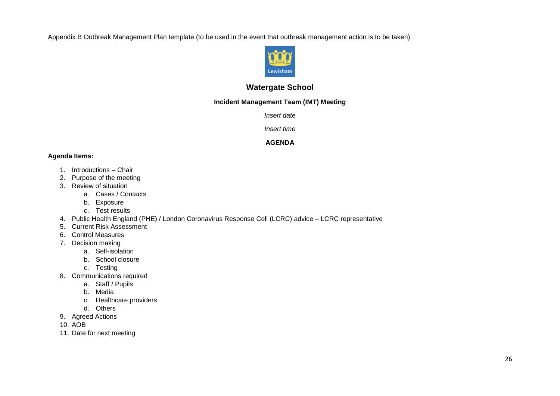Appendix B Outbreak Management Plan template (to be used in the event that outbreak management action is to be taken)



# **Watergate School**

### **Incident Management Team (IMT) Meeting**

*Insert date*

*Insert time*

## **AGENDA**

### **Agenda Items:**

- 1. Introductions Chair
- 2. Purpose of the meeting
- 3. Review of situation
	- a. Cases / Contacts
	- b. Exposure
	- c. Test results
- 4. Public Health England (PHE) / London Coronavirus Response Cell (LCRC) advice LCRC representative
- 5. Current Risk Assessment
- 6. Control Measures
- 7. Decision making
	- a. Self-isolation
	- b. School closure
	- c. Testing
- 8. Communications required
	- a. Staff / Pupils
	- b. Media
	- c. Healthcare providers
	- d. Others
- 9. Agreed Actions
- 10. AOB
- 11. Date for next meeting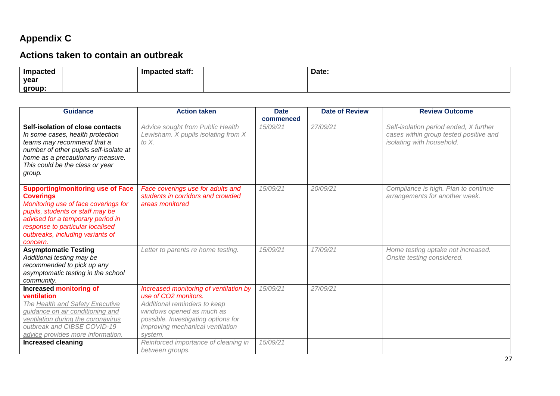# **Appendix C**

# **Actions taken to contain an outbreak**

| Impacted | Impacted staff: | Date: |  |
|----------|-----------------|-------|--|
| year     |                 |       |  |
| group:   |                 |       |  |

| <b>Guidance</b>                                                                                                                                                                                                                                                   | <b>Action taken</b>                                                                                                                                                                                               | <b>Date</b> | <b>Date of Review</b> | <b>Review Outcome</b>                                                                                         |
|-------------------------------------------------------------------------------------------------------------------------------------------------------------------------------------------------------------------------------------------------------------------|-------------------------------------------------------------------------------------------------------------------------------------------------------------------------------------------------------------------|-------------|-----------------------|---------------------------------------------------------------------------------------------------------------|
|                                                                                                                                                                                                                                                                   |                                                                                                                                                                                                                   | commenced   |                       |                                                                                                               |
| Self-isolation of close contacts<br>In some cases, health protection<br>teams may recommend that a<br>number of other pupils self-isolate at<br>home as a precautionary measure.<br>This could be the class or year<br>group.                                     | Advice sought from Public Health<br>Lewisham. X pupils isolating from X<br>to $X$ .                                                                                                                               | 15/09/21    | 27/09/21              | Self-isolation period ended, X further<br>cases within group tested positive and<br>isolating with household. |
| <b>Supporting/monitoring use of Face</b><br><b>Coverings</b><br>Monitoring use of face coverings for<br>pupils, students or staff may be<br>advised for a temporary period in<br>response to particular localised<br>outbreaks, including variants of<br>concern. | Face coverings use for adults and<br>students in corridors and crowded<br>areas monitored                                                                                                                         | 15/09/21    | 20/09/21              | Compliance is high. Plan to continue<br>arrangements for another week.                                        |
| <b>Asymptomatic Testing</b><br>Additional testing may be<br>recommended to pick up any<br>asymptomatic testing in the school<br>community.                                                                                                                        | Letter to parents re home testing.                                                                                                                                                                                | 15/09/21    | 17/09/21              | Home testing uptake not increased.<br>Onsite testing considered.                                              |
| <b>Increased monitoring of</b><br>ventilation<br>The Health and Safety Executive<br>guidance on air conditioning and<br>ventilation during the coronavirus<br>outbreak and CIBSE COVID-19<br>advice provides more information.                                    | Increased monitoring of ventilation by<br>use of CO2 monitors.<br>Additional reminders to keep<br>windows opened as much as<br>possible. Investigating options for<br>improving mechanical ventilation<br>system. | 15/09/21    | 27/09/21              |                                                                                                               |
| <b>Increased cleaning</b>                                                                                                                                                                                                                                         | Reinforced importance of cleaning in<br>between groups.                                                                                                                                                           | 15/09/21    |                       |                                                                                                               |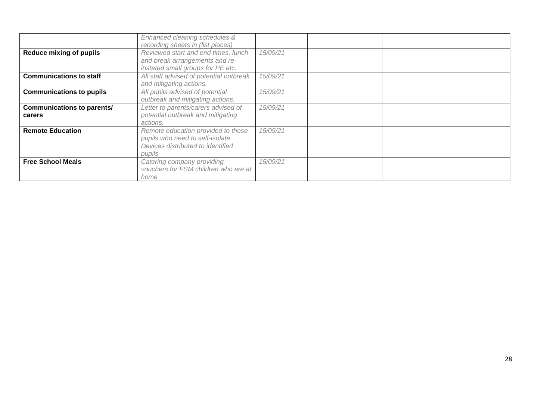|                                             | Enhanced cleaning schedules &<br>recording sheets in (list places)                                                    |          |  |
|---------------------------------------------|-----------------------------------------------------------------------------------------------------------------------|----------|--|
| Reduce mixing of pupils                     | Reviewed start and end times, lunch<br>and break arrangements and re-<br>instated small groups for PE etc.            | 15/09/21 |  |
| <b>Communications to staff</b>              | All staff advised of potential outbreak<br>and mitigating actions.                                                    | 15/09/21 |  |
| <b>Communications to pupils</b>             | All pupils advised of potential<br>outbreak and mitigating actions.                                                   | 15/09/21 |  |
| <b>Communications to parents/</b><br>carers | Letter to parents/carers advised of<br>potential outbreak and mitigating<br>actions.                                  | 15/09/21 |  |
| <b>Remote Education</b>                     | Remote education provided to those<br>pupils who need to self-isolate.<br>Devices distributed to identified<br>pupils | 15/09/21 |  |
| <b>Free School Meals</b>                    | Catering company providing<br>vouchers for FSM children who are at<br>home                                            | 15/09/21 |  |